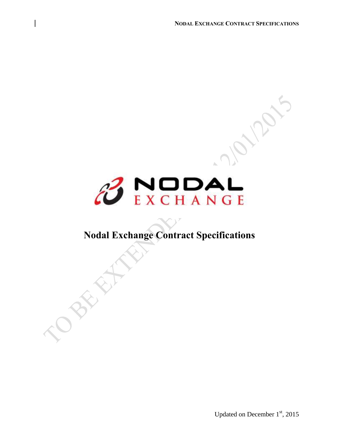

## **Nodal Exchange Contract Specifications**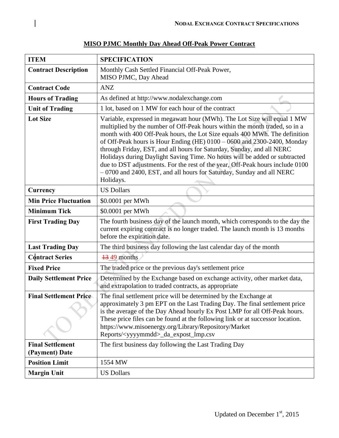| <b>ITEM</b>                               | <b>SPECIFICATION</b>                                                                                                                                                                                                                                                                                                                                                                                                                                                                                                                                                                                                                                  |
|-------------------------------------------|-------------------------------------------------------------------------------------------------------------------------------------------------------------------------------------------------------------------------------------------------------------------------------------------------------------------------------------------------------------------------------------------------------------------------------------------------------------------------------------------------------------------------------------------------------------------------------------------------------------------------------------------------------|
| <b>Contract Description</b>               | Monthly Cash Settled Financial Off-Peak Power,<br>MISO PJMC, Day Ahead                                                                                                                                                                                                                                                                                                                                                                                                                                                                                                                                                                                |
| <b>Contract Code</b>                      | <b>ANZ</b>                                                                                                                                                                                                                                                                                                                                                                                                                                                                                                                                                                                                                                            |
| <b>Hours of Trading</b>                   | As defined at http://www.nodalexchange.com                                                                                                                                                                                                                                                                                                                                                                                                                                                                                                                                                                                                            |
| <b>Unit of Trading</b>                    | 1 lot, based on 1 MW for each hour of the contract                                                                                                                                                                                                                                                                                                                                                                                                                                                                                                                                                                                                    |
| <b>Lot Size</b>                           | Variable, expressed in megawatt hour (MWh). The Lot Size will equal 1 MW<br>multiplied by the number of Off-Peak hours within the month traded, so in a<br>month with 400 Off-Peak hours, the Lot Size equals 400 MWh. The definition<br>of Off-Peak hours is Hour Ending (HE) $0100 - 0600$ and $2300 - 2400$ , Monday<br>through Friday, EST, and all hours for Saturday, Sunday, and all NERC<br>Holidays during Daylight Saving Time. No hours will be added or subtracted<br>due to DST adjustments. For the rest of the year, Off-Peak hours include 0100<br>- 0700 and 2400, EST, and all hours for Saturday, Sunday and all NERC<br>Holidays. |
| Currency                                  | <b>US Dollars</b>                                                                                                                                                                                                                                                                                                                                                                                                                                                                                                                                                                                                                                     |
| <b>Min Price Fluctuation</b>              | \$0.0001 per MWh                                                                                                                                                                                                                                                                                                                                                                                                                                                                                                                                                                                                                                      |
| <b>Minimum Tick</b>                       | \$0.0001 per MWh                                                                                                                                                                                                                                                                                                                                                                                                                                                                                                                                                                                                                                      |
| <b>First Trading Day</b>                  | The fourth business day of the launch month, which corresponds to the day the<br>current expiring contract is no longer traded. The launch month is 13 months<br>before the expiration date.                                                                                                                                                                                                                                                                                                                                                                                                                                                          |
| <b>Last Trading Day</b>                   | The third business day following the last calendar day of the month                                                                                                                                                                                                                                                                                                                                                                                                                                                                                                                                                                                   |
| <b>Contract Series</b>                    | $\frac{13}{49}$ months                                                                                                                                                                                                                                                                                                                                                                                                                                                                                                                                                                                                                                |
| <b>Fixed Price</b>                        | The traded price or the previous day's settlement price                                                                                                                                                                                                                                                                                                                                                                                                                                                                                                                                                                                               |
| <b>Daily Settlement Price</b>             | Determined by the Exchange based on exchange activity, other market data,<br>and extrapolation to traded contracts, as appropriate                                                                                                                                                                                                                                                                                                                                                                                                                                                                                                                    |
| <b>Final Settlement Price-</b>            | The final settlement price will be determined by the Exchange at<br>approximately 3 pm EPT on the Last Trading Day. The final settlement price<br>is the average of the Day Ahead hourly Ex Post LMP for all Off-Peak hours.<br>These price files can be found at the following link or at successor location.<br>https://www.misoenergy.org/Library/Repository/Market<br>Reports/ <yyyymmdd>_da_expost_lmp.csv</yyyymmdd>                                                                                                                                                                                                                            |
| <b>Final Settlement</b><br>(Payment) Date | The first business day following the Last Trading Day                                                                                                                                                                                                                                                                                                                                                                                                                                                                                                                                                                                                 |
| <b>Position Limit</b>                     | 1554 MW                                                                                                                                                                                                                                                                                                                                                                                                                                                                                                                                                                                                                                               |
| <b>Margin Unit</b>                        | <b>US Dollars</b>                                                                                                                                                                                                                                                                                                                                                                                                                                                                                                                                                                                                                                     |

## **MISO PJMC Monthly Day Ahead Off-Peak Power Contract**

 $\overline{\phantom{a}}$